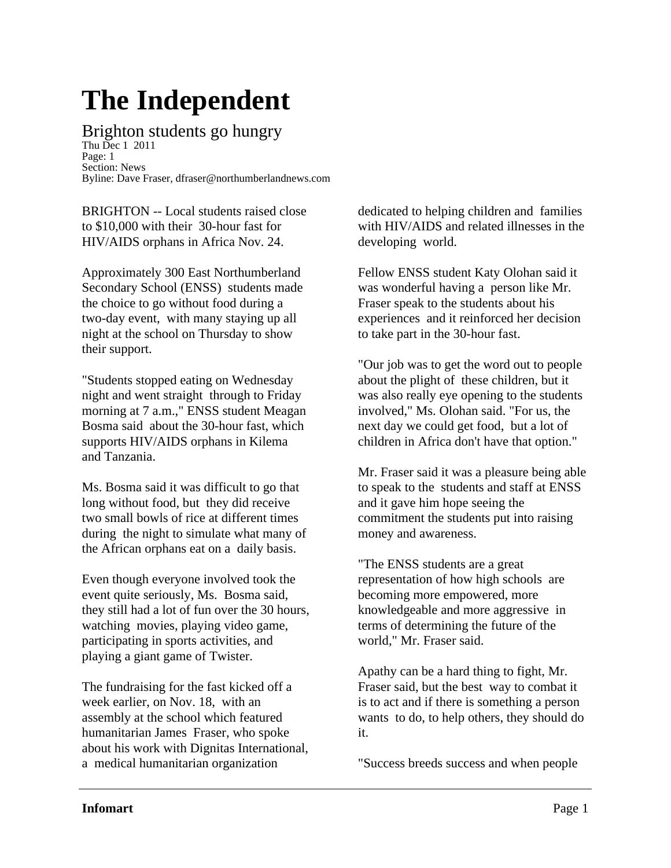## **The Independent**

## Brighton students go hungry

Thu Dec 1 2011 Page: 1 Section: News Byline: Dave Fraser, dfraser@northumberlandnews.com

BRIGHTON -- Local students raised close to \$10,000 with their 30-hour fast for HIV/AIDS orphans in Africa Nov. 24.

Approximately 300 East Northumberland Secondary School (ENSS) students made the choice to go without food during a two-day event, with many staying up all night at the school on Thursday to show their support.

"Students stopped eating on Wednesday night and went straight through to Friday morning at 7 a.m.," ENSS student Meagan Bosma said about the 30-hour fast, which supports HIV/AIDS orphans in Kilema and Tanzania.

Ms. Bosma said it was difficult to go that long without food, but they did receive two small bowls of rice at different times during the night to simulate what many of the African orphans eat on a daily basis.

Even though everyone involved took the event quite seriously, Ms. Bosma said, they still had a lot of fun over the 30 hours, watching movies, playing video game, participating in sports activities, and playing a giant game of Twister.

The fundraising for the fast kicked off a week earlier, on Nov. 18, with an assembly at the school which featured humanitarian James Fraser, who spoke about his work with Dignitas International, a medical humanitarian organization

dedicated to helping children and families with HIV/AIDS and related illnesses in the developing world.

Fellow ENSS student Katy Olohan said it was wonderful having a person like Mr. Fraser speak to the students about his experiences and it reinforced her decision to take part in the 30-hour fast.

"Our job was to get the word out to people about the plight of these children, but it was also really eye opening to the students involved," Ms. Olohan said. "For us, the next day we could get food, but a lot of children in Africa don't have that option."

Mr. Fraser said it was a pleasure being able to speak to the students and staff at ENSS and it gave him hope seeing the commitment the students put into raising money and awareness.

"The ENSS students are a great representation of how high schools are becoming more empowered, more knowledgeable and more aggressive in terms of determining the future of the world," Mr. Fraser said.

Apathy can be a hard thing to fight, Mr. Fraser said, but the best way to combat it is to act and if there is something a person wants to do, to help others, they should do it.

"Success breeds success and when people